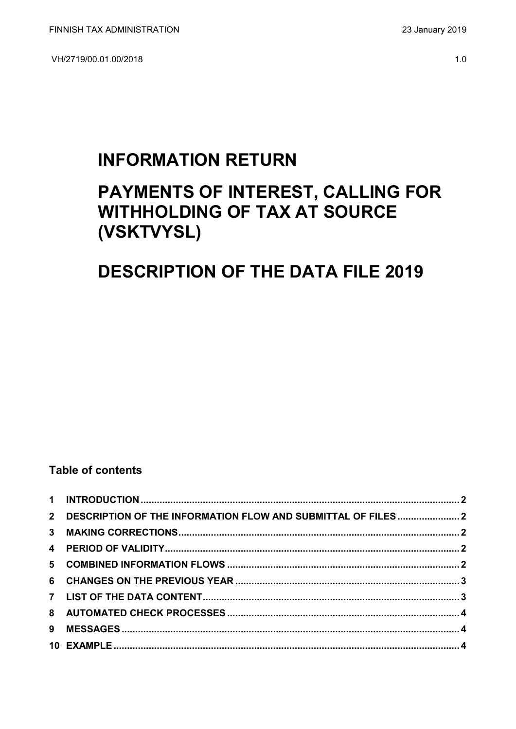VH/2719/00.01.00/2018

# **INFORMATION RETURN**

# PAYMENTS OF INTEREST, CALLING FOR **WITHHOLDING OF TAX AT SOURCE** (VSKTVYSL)

# **DESCRIPTION OF THE DATA FILE 2019**

## **Table of contents**

| 2 DESCRIPTION OF THE INFORMATION FLOW AND SUBMITTAL OF FILES  2 |  |
|-----------------------------------------------------------------|--|
|                                                                 |  |
|                                                                 |  |
|                                                                 |  |
|                                                                 |  |
|                                                                 |  |
|                                                                 |  |
|                                                                 |  |
|                                                                 |  |
|                                                                 |  |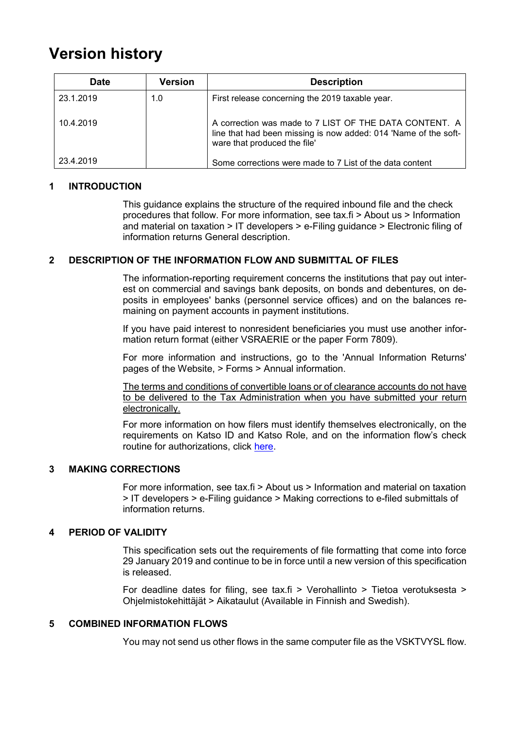# **Version history**

| <b>Date</b> | <b>Version</b> | <b>Description</b>                                                                                                                                        |
|-------------|----------------|-----------------------------------------------------------------------------------------------------------------------------------------------------------|
| 23.1.2019   | 1.0            | First release concerning the 2019 taxable year.                                                                                                           |
| 10.4.2019   |                | A correction was made to 7 LIST OF THE DATA CONTENT. A<br>line that had been missing is now added: 014 'Name of the soft-<br>ware that produced the file' |
| 23.4.2019   |                | Some corrections were made to 7 List of the data content                                                                                                  |

#### <span id="page-1-0"></span>**1 INTRODUCTION**

This guidance explains the structure of the required inbound file and the check procedures that follow. For more information, see tax.fi > About us > Information and material on taxation > IT developers > e-Filing guidance > Electronic filing of information returns General description.

#### <span id="page-1-1"></span>**2 DESCRIPTION OF THE INFORMATION FLOW AND SUBMITTAL OF FILES**

The information-reporting requirement concerns the institutions that pay out interest on commercial and savings bank deposits, on bonds and debentures, on deposits in employees' banks (personnel service offices) and on the balances remaining on payment accounts in payment institutions.

If you have paid interest to nonresident beneficiaries you must use another information return format (either VSRAERIE or the paper Form 7809).

For more information and instructions, go to the 'Annual Information Returns' pages of the Website, > Forms > Annual information.

The terms and conditions of convertible loans or of clearance accounts do not have to be delivered to the Tax Administration when you have submitted your return electronically.

For more information on how filers must identify themselves electronically, on the requirements on Katso ID and Katso Role, and on the information flow's check routine for authorizations, click [here.](https://www.ilmoitin.fi/webtamo/sivut/IlmoituslajiRoolit?kieli=en&tv=VSKTVYSL)

#### <span id="page-1-2"></span>**3 MAKING CORRECTIONS**

For more information, see tax.fi > About us > Information and material on taxation > IT developers > e-Filing guidance > Making corrections to e-filed submittals of information returns.

#### <span id="page-1-3"></span>**4 PERIOD OF VALIDITY**

This specification sets out the requirements of file formatting that come into force 29 January 2019 and continue to be in force until a new version of this specification is released.

For deadline dates for filing, see tax.fi > Verohallinto > Tietoa verotuksesta > Ohjelmistokehittäjät > Aikataulut (Available in Finnish and Swedish).

#### <span id="page-1-4"></span>**5 COMBINED INFORMATION FLOWS**

You may not send us other flows in the same computer file as the VSKTVYSL flow.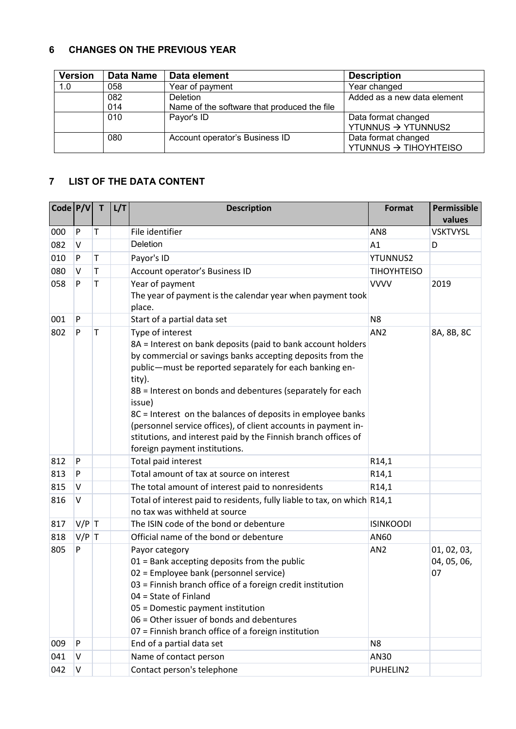### <span id="page-2-0"></span>**6 CHANGES ON THE PREVIOUS YEAR**

| <b>Version</b> | Data Name | Data element                                | <b>Description</b>          |
|----------------|-----------|---------------------------------------------|-----------------------------|
| 1.0            | 058       | Year of payment                             | Year changed                |
|                | 082       | <b>Deletion</b>                             | Added as a new data element |
|                | 014       | Name of the software that produced the file |                             |
|                | 010       | Payor's ID                                  | Data format changed         |
|                |           |                                             | YTUNNUS → YTUNNUS2          |
|                | 080       | Account operator's Business ID              | Data format changed         |
|                |           |                                             | YTUNNUS → TIHOYHTEISO       |

### <span id="page-2-1"></span>**7 LIST OF THE DATA CONTENT**

| Code  P/V |         | T           | L/T | <b>Description</b>                                                                                                                                                                                                                                                                                                                                                                                                                                                                                                              | <b>Format</b>      | Permissible                      |
|-----------|---------|-------------|-----|---------------------------------------------------------------------------------------------------------------------------------------------------------------------------------------------------------------------------------------------------------------------------------------------------------------------------------------------------------------------------------------------------------------------------------------------------------------------------------------------------------------------------------|--------------------|----------------------------------|
| 000       | P       | T           |     | File identifier                                                                                                                                                                                                                                                                                                                                                                                                                                                                                                                 | AN <sub>8</sub>    | values<br><b>VSKTVYSL</b>        |
| 082       | v       |             |     | Deletion                                                                                                                                                                                                                                                                                                                                                                                                                                                                                                                        | A1                 | D                                |
| 010       | P       | $\mathsf T$ |     | Payor's ID                                                                                                                                                                                                                                                                                                                                                                                                                                                                                                                      | <b>YTUNNUS2</b>    |                                  |
| 080       | v       | Τ           |     | Account operator's Business ID                                                                                                                                                                                                                                                                                                                                                                                                                                                                                                  | <b>TIHOYHTEISO</b> |                                  |
| 058       | P       | T           |     | Year of payment                                                                                                                                                                                                                                                                                                                                                                                                                                                                                                                 | <b>VVVV</b>        | 2019                             |
|           |         |             |     | The year of payment is the calendar year when payment took<br>place.                                                                                                                                                                                                                                                                                                                                                                                                                                                            |                    |                                  |
| 001       | P       |             |     | Start of a partial data set                                                                                                                                                                                                                                                                                                                                                                                                                                                                                                     | N <sub>8</sub>     |                                  |
| 802       | P       | T           |     | Type of interest<br>8A = Interest on bank deposits (paid to bank account holders<br>by commercial or savings banks accepting deposits from the<br>public-must be reported separately for each banking en-<br>tity).<br>8B = Interest on bonds and debentures (separately for each<br>issue)<br>8C = Interest on the balances of deposits in employee banks<br>(personnel service offices), of client accounts in payment in-<br>stitutions, and interest paid by the Finnish branch offices of<br>foreign payment institutions. | AN <sub>2</sub>    | 8A, 8B, 8C                       |
| 812       | P       |             |     | Total paid interest                                                                                                                                                                                                                                                                                                                                                                                                                                                                                                             | R <sub>14</sub> ,1 |                                  |
| 813       | P       |             |     | Total amount of tax at source on interest                                                                                                                                                                                                                                                                                                                                                                                                                                                                                       | R <sub>14</sub> ,1 |                                  |
| 815       | v       |             |     | The total amount of interest paid to nonresidents                                                                                                                                                                                                                                                                                                                                                                                                                                                                               | R <sub>14</sub> ,1 |                                  |
| 816       | v       |             |     | Total of interest paid to residents, fully liable to tax, on which R14,1<br>no tax was withheld at source                                                                                                                                                                                                                                                                                                                                                                                                                       |                    |                                  |
| 817       | $V/P$ T |             |     | The ISIN code of the bond or debenture                                                                                                                                                                                                                                                                                                                                                                                                                                                                                          | <b>ISINKOODI</b>   |                                  |
| 818       | $V/P$ T |             |     | Official name of the bond or debenture                                                                                                                                                                                                                                                                                                                                                                                                                                                                                          | AN60               |                                  |
| 805       | P       |             |     | Payor category<br>01 = Bank accepting deposits from the public<br>02 = Employee bank (personnel service)<br>03 = Finnish branch office of a foreign credit institution<br>04 = State of Finland<br>05 = Domestic payment institution<br>06 = Other issuer of bonds and debentures<br>07 = Finnish branch office of a foreign institution                                                                                                                                                                                        | AN <sub>2</sub>    | 01, 02, 03,<br>04, 05, 06,<br>07 |
| 009       | P       |             |     | End of a partial data set                                                                                                                                                                                                                                                                                                                                                                                                                                                                                                       | N <sub>8</sub>     |                                  |
| 041       | Λ       |             |     | Name of contact person                                                                                                                                                                                                                                                                                                                                                                                                                                                                                                          | AN30               |                                  |
| 042       | ٧       |             |     | Contact person's telephone                                                                                                                                                                                                                                                                                                                                                                                                                                                                                                      | PUHELIN2           |                                  |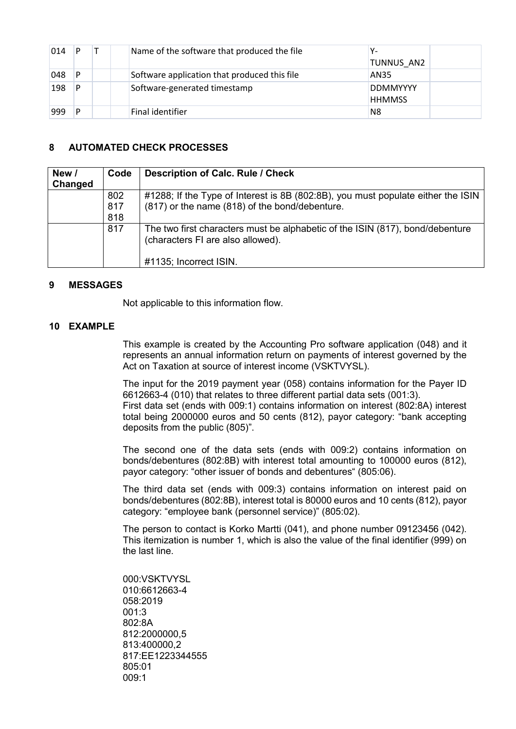| 014 | D | Name of the software that produced the file  | Υ-              |
|-----|---|----------------------------------------------|-----------------|
|     |   |                                              | TUNNUS AN2      |
| 048 |   | Software application that produced this file | AN35            |
| 198 | D | Software-generated timestamp                 | <b>DDMMYYYY</b> |
|     |   |                                              | <b>HHMMSS</b>   |
| 999 | D | Final identifier                             | 'N8             |

### <span id="page-3-0"></span>**8 AUTOMATED CHECK PROCESSES**

| New /   | Code | <b>Description of Calc. Rule / Check</b>                                                                           |
|---------|------|--------------------------------------------------------------------------------------------------------------------|
| Changed |      |                                                                                                                    |
|         | 802  | #1288; If the Type of Interest is 8B (802:8B), you must populate either the ISIN                                   |
|         | 817  | (817) or the name (818) of the bond/debenture.                                                                     |
|         | 818  |                                                                                                                    |
|         | 817  | The two first characters must be alphabetic of the ISIN (817), bond/debenture<br>(characters FI are also allowed). |
|         |      | #1135; Incorrect ISIN.                                                                                             |

#### <span id="page-3-1"></span>**9 MESSAGES**

Not applicable to this information flow.

#### <span id="page-3-2"></span>**10 EXAMPLE**

This example is created by the Accounting Pro software application (048) and it represents an annual information return on payments of interest governed by the Act on Taxation at source of interest income (VSKTVYSL).

The input for the 2019 payment year (058) contains information for the Payer ID 6612663-4 (010) that relates to three different partial data sets (001:3). First data set (ends with 009:1) contains information on interest (802:8A) interest total being 2000000 euros and 50 cents (812), payor category: "bank accepting deposits from the public (805)".

The second one of the data sets (ends with 009:2) contains information on bonds/debentures (802:8B) with interest total amounting to 100000 euros (812), payor category: "other issuer of bonds and debentures" (805:06).

The third data set (ends with 009:3) contains information on interest paid on bonds/debentures (802:8B), interest total is 80000 euros and 10 cents (812), payor category: "employee bank (personnel service)" (805:02).

The person to contact is Korko Martti (041), and phone number 09123456 (042). This itemization is number 1, which is also the value of the final identifier (999) on the last line.

000:VSKTVYSL 010:6612663-4 058:2019 001:3 802:8A 812:2000000,5 813:400000,2 817:EE1223344555 805:01 009:1